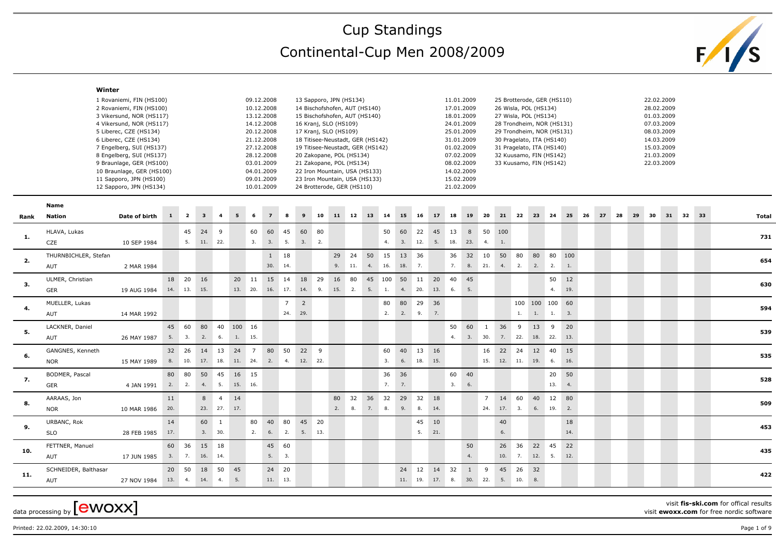## Cup Standings Continental-Cup Men 2008/2009



|      | Winter                         |                                                                                                                                                                                                                                                                                   |                 |                         |                         |                       |                                    |                           |                                                                                                                                          |                        |                            |                                                                                                                                                                                                                                                                                                              |                 |                 |             |           |                |                  |                                    |                                                                                                                                          |                |                |                             |     |                                                                                                                                                                                                                                                        |                 |           |    |    |    |    |                                                                                                                            |    |       |       |
|------|--------------------------------|-----------------------------------------------------------------------------------------------------------------------------------------------------------------------------------------------------------------------------------------------------------------------------------|-----------------|-------------------------|-------------------------|-----------------------|------------------------------------|---------------------------|------------------------------------------------------------------------------------------------------------------------------------------|------------------------|----------------------------|--------------------------------------------------------------------------------------------------------------------------------------------------------------------------------------------------------------------------------------------------------------------------------------------------------------|-----------------|-----------------|-------------|-----------|----------------|------------------|------------------------------------|------------------------------------------------------------------------------------------------------------------------------------------|----------------|----------------|-----------------------------|-----|--------------------------------------------------------------------------------------------------------------------------------------------------------------------------------------------------------------------------------------------------------|-----------------|-----------|----|----|----|----|----------------------------------------------------------------------------------------------------------------------------|----|-------|-------|
|      |                                | 1 Rovaniemi, FIN (HS100)<br>2 Rovaniemi, FIN (HS100)<br>3 Vikersund, NOR (HS117)<br>4 Vikersund, NOR (HS117)<br>5 Liberec, CZE (HS134)<br>6 Liberec, CZE (HS134)<br>7 Engelberg, SUI (HS137)<br>8 Engelberg, SUI (HS137)<br>9 Braunlage, GER (HS100)<br>10 Braunlage, GER (HS100) |                 |                         |                         |                       |                                    |                           | 09.12.2008<br>10.12.2008<br>13.12.2008<br>14.12.2008<br>20.12.2008<br>21.12.2008<br>27.12.2008<br>28.12.2008<br>03.01.2009<br>04.01.2009 |                        |                            | 13 Sapporo, JPN (HS134)<br>14 Bischofshofen, AUT (HS140)<br>15 Bischofshofen, AUT (HS140)<br>16 Kranj, SLO (HS109)<br>17 Kranj, SLO (HS109)<br>18 Titisee-Neustadt, GER (HS142)<br>19 Titisee-Neustadt, GER (HS142)<br>20 Zakopane, POL (HS134)<br>21 Zakopane, POL (HS134)<br>22 Iron Mountain, USA (HS133) |                 |                 |             |           |                |                  |                                    | 11.01.2009<br>17.01.2009<br>18.01.2009<br>24.01.2009<br>25.01.2009<br>31.01.2009<br>01.02.2009<br>07.02.2009<br>08.02.2009<br>14.02.2009 |                |                |                             |     | 25 Brotterode, GER (HS110)<br>26 Wisla, POL (HS134)<br>27 Wisla, POL (HS134)<br>28 Trondheim, NOR (HS131)<br>29 Trondheim, NOR (HS131)<br>30 Pragelato, ITA (HS140)<br>31 Pragelato, ITA (HS140)<br>32 Kuusamo, FIN (HS142)<br>33 Kuusamo, FIN (HS142) |                 |           |    |    |    |    | 22.02.2009<br>28.02.2009<br>01.03.2009<br>07.03.2009<br>08.03.2009<br>14.03.2009<br>15.03.2009<br>21.03.2009<br>22.03.2009 |    |       |       |
|      |                                | 11 Sapporo, JPN (HS100)<br>12 Sapporo, JPN (HS134)                                                                                                                                                                                                                                |                 |                         |                         |                       |                                    |                           | 09.01.2009<br>10.01.2009                                                                                                                 |                        |                            | 23 Iron Mountain, USA (HS133)<br>24 Brotterode, GER (HS110)                                                                                                                                                                                                                                                  |                 |                 |             |           |                |                  |                                    | 15.02.2009<br>21.02.2009                                                                                                                 |                |                |                             |     |                                                                                                                                                                                                                                                        |                 |           |    |    |    |    |                                                                                                                            |    |       |       |
| Rank | Name<br>Nation                 | Date of birth                                                                                                                                                                                                                                                                     | $\mathbf{1}$    | $\overline{\mathbf{2}}$ | $\overline{\mathbf{3}}$ | $\overline{4}$        |                                    | 6                         | $\overline{\mathbf{z}}$                                                                                                                  | 8                      | $\mathbf{9}$               | 10                                                                                                                                                                                                                                                                                                           | 11              | 12              | 13          | 14        | 15             | 16               | 17                                 | 18                                                                                                                                       | 19             | 20             | 21                          | 22  | 23                                                                                                                                                                                                                                                     | 24              | 25        | 26 | 27 | 28 | 29 | 30                                                                                                                         | 31 | 32 33 | Total |
| 1.   | HLAVA, Lukas<br>CZE            | 10 SEP 1984                                                                                                                                                                                                                                                                       |                 | 45<br>5.                | 24                      | 9<br>11. 22.          |                                    | 60<br>3.                  | 60<br>3.                                                                                                                                 | 45<br>5.               | 60<br>3.                   | 80<br>2.                                                                                                                                                                                                                                                                                                     |                 |                 |             | 50<br>4.  | 60<br>3.       | 22<br>12.        | 45<br>5.                           | 13<br>18.                                                                                                                                | 8<br>23.       | 50 100<br>4.   | 1.                          |     |                                                                                                                                                                                                                                                        |                 |           |    |    |    |    |                                                                                                                            |    |       | 731   |
| 2.   | THURNBICHLER, Stefan<br>AUT    | 2 MAR 1984                                                                                                                                                                                                                                                                        |                 |                         |                         |                       |                                    |                           | 30.                                                                                                                                      | $1 \qquad 18$<br>14.   |                            |                                                                                                                                                                                                                                                                                                              |                 | 29 24<br>9. 11. | 50<br>4.    | 15<br>16. | 13 36<br>18.   | $\overline{7}$ . |                                    | 7.                                                                                                                                       | 36 32 10<br>8. | $-21.$         | 50 80<br>4. 2. 2.           |     | 80                                                                                                                                                                                                                                                     | 80 100<br>2. 1. |           |    |    |    |    |                                                                                                                            |    |       | 654   |
| 3.   | ULMER, Christian<br>GER        | 19 AUG 1984                                                                                                                                                                                                                                                                       |                 | 18 20<br>14. 13.        | 16<br>15.               |                       |                                    | 20 11<br>13. 20.          | 15<br>16. 17.                                                                                                                            | 14                     | 18 29<br>14.               | 9.                                                                                                                                                                                                                                                                                                           | 16 80<br>15. 2. |                 | 5. 1.       | 45 100    | 50<br>4.       | 11<br>20.        | 20<br>13.                          | 40<br>6.                                                                                                                                 | 45<br>5.       |                |                             |     |                                                                                                                                                                                                                                                        | 50 12<br>4.     | 19.       |    |    |    |    |                                                                                                                            |    |       | 630   |
| 4.   | MUELLER, Lukas<br>AUT          | 14 MAR 1992                                                                                                                                                                                                                                                                       |                 |                         |                         |                       |                                    |                           |                                                                                                                                          | $7^{\circ}$<br>24. 29. | $\overline{\phantom{0}}$ 2 |                                                                                                                                                                                                                                                                                                              |                 |                 |             | 80<br>2.  | 80 29 36<br>2. | 9.               | 7.                                 |                                                                                                                                          |                |                |                             | 1.  | 100 100 100 60<br>1.                                                                                                                                                                                                                                   | 1.              | 3.        |    |    |    |    |                                                                                                                            |    |       | 594   |
| 5.   | LACKNER, Daniel<br>AUT         | 26 MAY 1987                                                                                                                                                                                                                                                                       |                 | 45 60                   |                         |                       | 80 40 100 16<br>5. 3. 2. 6. 1. 15. |                           |                                                                                                                                          |                        |                            |                                                                                                                                                                                                                                                                                                              |                 |                 |             |           |                |                  |                                    | 50                                                                                                                                       |                |                | 60 1 36 9                   |     | 13 9<br>4. 3. 30. 7. 22. 18. 22. 13.                                                                                                                                                                                                                   |                 | 20        |    |    |    |    |                                                                                                                            |    |       | 539   |
| 6.   | GANGNES, Kenneth<br><b>NOR</b> | 15 MAY 1989                                                                                                                                                                                                                                                                       | 8.              | 10.                     | 32  26  14  13  24      | 17. 18.               |                                    | $\overline{7}$<br>11. 24. | 80<br>2.                                                                                                                                 | 50<br>4.               | 22 9<br>12. 22.            |                                                                                                                                                                                                                                                                                                              |                 |                 |             | 60<br>3.  | 40<br>6.       | 13 16<br>18.     | 15.                                |                                                                                                                                          |                |                | 16 22 24<br>15. 12. 11. 19. |     | 12                                                                                                                                                                                                                                                     | 40 15<br>6.     | 16.       |    |    |    |    |                                                                                                                            |    |       | 535   |
| 7.   | BODMER, Pascal<br><b>GER</b>   | 4 JAN 1991                                                                                                                                                                                                                                                                        | $\overline{2.}$ | 80 80<br>2.             | 4.                      | 50 45<br>5.           |                                    | 16 15<br>15. 16.          |                                                                                                                                          |                        |                            |                                                                                                                                                                                                                                                                                                              |                 |                 |             | 36<br>7.  | 36<br>7.       |                  |                                    | 60 40<br>3.                                                                                                                              | 6.             |                |                             |     |                                                                                                                                                                                                                                                        | 20 50<br>13.    | 4.        |    |    |    |    |                                                                                                                            |    |       | 528   |
| 8.   | AARAAS, Jon<br><b>NOR</b>      | 10 MAR 1986                                                                                                                                                                                                                                                                       | 11<br>20.       |                         |                         | 8 4<br>23. 27. 17.    | 14                                 |                           |                                                                                                                                          |                        |                            |                                                                                                                                                                                                                                                                                                              | 80<br>2.        | 32<br>8.        | 36<br>$-7.$ | 32<br>8.  | 29<br>9.       | 32<br>8.         | 18<br>14.                          |                                                                                                                                          |                | $\overline{7}$ | 14<br>24. 17. 3.            | 60  | 40<br>6.                                                                                                                                                                                                                                               | 12<br>19. 2.    | 80        |    |    |    |    |                                                                                                                            |    |       | 509   |
| 9.   | URBANC, Rok<br><b>SLO</b>      | 28 FEB 1985                                                                                                                                                                                                                                                                       | 14<br>17.       |                         | 60<br>3.                | $\overline{1}$<br>30. |                                    | 80<br>2.                  | 40<br>6.                                                                                                                                 | 80<br>2.               | 45 20<br>5.                | 13.                                                                                                                                                                                                                                                                                                          |                 |                 |             |           |                | 45 10<br>5.      | 21.                                |                                                                                                                                          |                |                | 40<br>6.                    |     |                                                                                                                                                                                                                                                        |                 | 18<br>14. |    |    |    |    |                                                                                                                            |    |       | 453   |
| 10.  | FETTNER, Manuel<br>AUT         | 17 JUN 1985                                                                                                                                                                                                                                                                       |                 | 60 36<br>3.7.           | 16. 14.                 | 15 18                 |                                    |                           | 45 60<br>5. 3.                                                                                                                           |                        |                            |                                                                                                                                                                                                                                                                                                              |                 |                 |             |           |                |                  |                                    |                                                                                                                                          | 50<br>4.       |                |                             |     | 26 36 22 45 22<br>10. 7. 12. 5. 12.                                                                                                                                                                                                                    |                 |           |    |    |    |    |                                                                                                                            |    |       | 435   |
| 11.  | SCHNEIDER, Balthasar<br>AUT    | 27 NOV 1984                                                                                                                                                                                                                                                                       |                 | 20 50<br>13. 4.         | 18 50<br>14.            | 4.                    | 45<br>5.                           |                           | 24 20<br>11. 13.                                                                                                                         |                        |                            |                                                                                                                                                                                                                                                                                                              |                 |                 |             |           | 24 12          |                  | 14 32<br>11. 19. 17. 8. 30. 22. 5. |                                                                                                                                          | $1 \quad 9$    |                | 45 26 32                    | 10. | 8.                                                                                                                                                                                                                                                     |                 |           |    |    |    |    |                                                                                                                            |    |       | 422   |
|      |                                |                                                                                                                                                                                                                                                                                   |                 |                         |                         |                       |                                    |                           |                                                                                                                                          |                        |                            |                                                                                                                                                                                                                                                                                                              |                 |                 |             |           |                |                  |                                    |                                                                                                                                          |                |                |                             |     |                                                                                                                                                                                                                                                        |                 |           |    |    |    |    |                                                                                                                            |    |       |       |

visit **fis-ski.com** for offical results

visit **ewoxx.com** for free nordic software

Printed: 22.02.2009, 14:30:10 Page 1 of 9

 $_{\text{data processing by}}$  [ewoxx]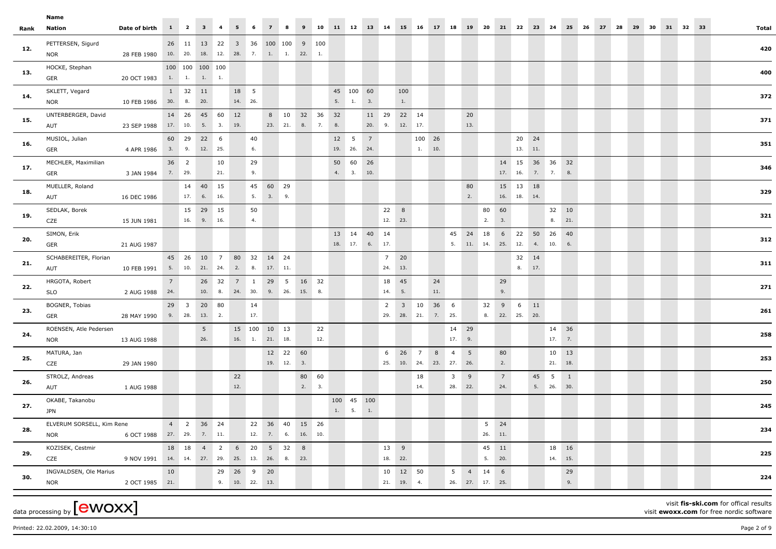|                                 |  |          |    |                  |            |                  |                                         |                        |                                                     |                                       |           |                    |                                        |                 |                        |                 |          |                |                                     |            |                      |                                |                                         |                         |                                                                               |             |                                     |                           | Name                                    |      |
|---------------------------------|--|----------|----|------------------|------------|------------------|-----------------------------------------|------------------------|-----------------------------------------------------|---------------------------------------|-----------|--------------------|----------------------------------------|-----------------|------------------------|-----------------|----------|----------------|-------------------------------------|------------|----------------------|--------------------------------|-----------------------------------------|-------------------------|-------------------------------------------------------------------------------|-------------|-------------------------------------|---------------------------|-----------------------------------------|------|
| 31 32 33<br>30<br>- 29<br>Total |  | 28<br>27 | 26 | - 25             | 24         | - 23             | 21 22                                   |                        | 20<br>19                                            |                                       | 17 18     | 15 16              |                                        | 13 14           |                        | 11 12           |          | 10             | 9                                   | 8          | $\overline{z}$       | 6                              | $5 -$                                   | $\overline{\mathbf{4}}$ | 3 <sup>1</sup>                                                                | $1 \quad 2$ |                                     | Date of birth             | Nation                                  | Rank |
| 420                             |  |          |    |                  |            |                  |                                         |                        |                                                     |                                       |           |                    |                                        |                 |                        |                 |          |                | 26 11 13 22 3 36 100 100 9 100      |            |                      |                                |                                         |                         |                                                                               |             | 10. 20. 18. 12. 28. 7. 1. 1. 22. 1. | 28 FEB 1980               | PETTERSEN, Sigurd<br><b>NOR</b>         | 12.  |
| 400                             |  |          |    |                  |            |                  |                                         |                        |                                                     |                                       |           |                    |                                        |                 |                        |                 |          |                |                                     |            |                      |                                |                                         |                         | 100 100 100 100<br>$\begin{array}{cccccccccc} &1,& &1,& &1,& &1. \end{array}$ |             |                                     | 20 OCT 1983               | HOCKE, Stephan<br>GER                   | 13.  |
| 372                             |  |          |    |                  |            |                  |                                         |                        |                                                     |                                       |           |                    | 100<br>1.                              |                 | 45 100 60<br>3.        | 1.              | 5.       |                |                                     |            |                      | 18 5<br>14. 26.                |                                         |                         | 1 32 11<br>20.                                                                |             | 30.8.                               | 10 FEB 1986               | SKLETT, Vegard<br><b>NOR</b>            | 14.  |
| 371                             |  |          |    |                  |            |                  |                                         |                        | 20<br>13.                                           |                                       |           |                    | 22 14<br>12. 17.                       | 11 29<br>20. 9. |                        |                 | 32<br>8. |                | 8 10 32 36<br>8. 7.                 | 23. 21.    |                      |                                | 12<br>19.                               |                         | 14  26  45  60                                                                |             | 17. 10. 5. 3.                       | 23 SEP 1988               | UNTERBERGER, David<br>AUT               | 15.  |
| 351                             |  |          |    |                  |            | 20 24<br>13. 11. |                                         |                        |                                                     |                                       |           | 100 26<br>1. 10.   |                                        |                 | $\overline{7}$<br>24.  | 12 5<br>19. 26. |          |                |                                     |            |                      | 40<br>6.                       |                                         |                         | 60 29 22 6<br>12. 25.                                                         |             | 3. 9.                               | 4 APR 1986                | MUSIOL, Julian<br>GER                   | 16.  |
| 346                             |  |          |    | 8.               |            |                  | 14   15   36   36   32<br>17. 16. 7. 7. |                        |                                                     |                                       |           |                    |                                        |                 | 60 26<br>3. 10.        |                 | 50<br>4. |                |                                     |            |                      | 29<br>9.                       |                                         | 10<br>21.               |                                                                               | 36 2        | 7. 29.                              | 3 JAN 1984                | MECHLER, Maximilian<br>GER              | 17.  |
| 329                             |  |          |    |                  |            |                  | 15  13  18<br>16. 18. 14.               |                        | 80<br>2.                                            |                                       |           |                    |                                        |                 |                        |                 |          |                |                                     |            | 45 60 29<br>5. 3. 9. |                                |                                         |                         | 14 40 15<br>17. 6. 16.                                                        |             |                                     | 16 DEC 1986               | MUELLER, Roland<br>AUT                  | 18.  |
| 321                             |  |          |    | 32 10<br>8. 21.  |            |                  |                                         | 60<br>3.               | 80<br>2.                                            |                                       |           |                    | 22 8<br>12. 23.                        |                 |                        |                 |          |                |                                     |            |                      | 50<br>4.                       |                                         |                         | 15 29 15<br>16. 9. 16.                                                        |             |                                     | 15 JUN 1981               | SEDLAK, Borek<br>CZE                    | 19.  |
| 312                             |  |          |    | 6.               | 4. 10.     |                  |                                         |                        | 45  24  18  6  22  50  26  40<br>5. 11. 14. 25. 12. |                                       |           |                    |                                        | 6. 17.          | 13  14  40  14         | 18. 17.         |          |                |                                     |            |                      |                                |                                         |                         |                                                                               |             |                                     | 21 AUG 1987               | SIMON, Erik<br>GER                      | 20.  |
| 311                             |  |          |    |                  |            | 32 14<br>8. 17.  |                                         |                        |                                                     |                                       |           |                    | 7 20<br>24. 13.                        |                 |                        |                 |          |                |                                     |            |                      | 80 32 14 24                    |                                         |                         | 10 7                                                                          | 45 26       | 5. 10. 21. 24. 2. 8. 17. 11.        | 10 FEB 1991               | SCHABEREITER, Florian<br>AUT            | 21.  |
| 271                             |  |          |    |                  |            |                  |                                         | 29<br>9.               |                                                     |                                       | 24<br>11. |                    | 18 45<br>5.                            | 14.             |                        |                 |          | 16 32          | 15. 8.                              |            | 29 5                 | $\mathbf{1}$                   | $\overline{7}$<br>10. 8. 24. 30. 9. 26. | 26 32                   |                                                                               |             | $7\overline{ }$<br>24.              | 2 AUG 1988                | HRGOTA, Robert<br><b>SLO</b>            | 22.  |
| 261                             |  |          |    |                  |            | 11               | 6<br>8. 22. 25. 20.                     | 32 9                   |                                                     |                                       | 36 6      | 29. 28. 21. 7. 25. | $2 \qquad 3 \qquad 10$                 |                 |                        |                 |          |                |                                     |            |                      | 14<br>17.                      |                                         |                         | 20 80<br>13. 2.                                                               | 29 3        | 9. 28.                              | 28 MAY 1990               | BOGNER, Tobias<br>GER                   | 23.  |
| 258                             |  |          |    | 14 36            | 17.7.      |                  |                                         |                        | 9.                                                  | 14 29<br>17.                          |           |                    |                                        |                 |                        |                 |          | 22<br>12.      |                                     |            |                      | 15 100 10 13<br>16. 1. 21. 18. |                                         |                         | 5 <sup>5</sup><br>26.                                                         |             |                                     |                           | ROENSEN, Atle Pedersen                  | 24.  |
| 253                             |  |          |    | 10 13<br>21. 18. |            |                  |                                         | 80<br>2.               | $5^{\circ}$                                         | $\overline{4}$<br>10. 24. 23. 27. 26. | 8         | 26 7               |                                        | 6<br>25.        |                        |                 |          |                | 12 22 60                            | 19. 12. 3. |                      |                                |                                         |                         |                                                                               |             |                                     | 13 AUG 1988               | <b>NOR</b><br>MATURA, Jan               | 25.  |
| 250                             |  |          |    | $5 \quad 1$      | 5. 26. 30. | 45               |                                         | $7\overline{ }$<br>24. | 9                                                   | $\overline{\mathbf{3}}$<br>28. 22.    |           | 18<br>14.          |                                        |                 |                        |                 |          | 80 60<br>2. 3. |                                     |            |                      |                                | 22<br>12.                               |                         |                                                                               |             |                                     | 29 JAN 1980<br>1 AUG 1988 | CZE<br>STROLZ, Andreas<br>AUT           | 26.  |
| 245                             |  |          |    |                  |            |                  |                                         |                        |                                                     |                                       |           |                    |                                        |                 | 100 45 100<br>1. 5. 1. |                 |          |                |                                     |            |                      |                                |                                         |                         |                                                                               |             |                                     |                           | OKABE, Takanobu<br>JPN                  | 27.  |
| 234                             |  |          |    |                  |            |                  |                                         | 5 24<br>26. 11.        |                                                     |                                       |           |                    |                                        |                 |                        |                 |          |                | 22 36 40 15 26<br>12. 7. 6. 16. 10. |            |                      |                                |                                         |                         | 4 2 36 24                                                                     |             |                                     | 6 OCT 1988 27. 29. 7. 11. | ELVERUM SORSELL, Kim Rene<br><b>NOR</b> | 28.  |
| 225                             |  |          |    | 18 16<br>14. 15. |            |                  |                                         | 45 11<br>5. 20.        |                                                     |                                       |           |                    | 13 9<br>18. 22.                        |                 |                        |                 |          |                | 8                                   | 32         | 20 5                 |                                | 6 <sup>1</sup><br>25. 13. 26. 8. 23.    | $\overline{2}$          | $\overline{4}$<br>14. 14. 27. 29.                                             | 18 18       |                                     | 9 NOV 1991                | KOZISEK, Cestmir<br>CZE                 | 29.  |
| 224                             |  |          |    | 29<br>9.         |            |                  |                                         |                        | $5 \qquad 4 \qquad 14 \qquad 6$<br>26. 27. 17. 25.  |                                       |           |                    | $10 \qquad 12 \qquad 50$<br>21. 19. 4. |                 |                        |                 |          |                |                                     |            |                      |                                | 29  26  9  20<br>9. 10. 22. 13.         |                         |                                                                               |             | 10                                  | 2 OCT 1985 21.            | INGVALDSEN, Ole Marius                  | 30.  |

Printed: 22.02.2009, 14:30:10 Page 2 of 9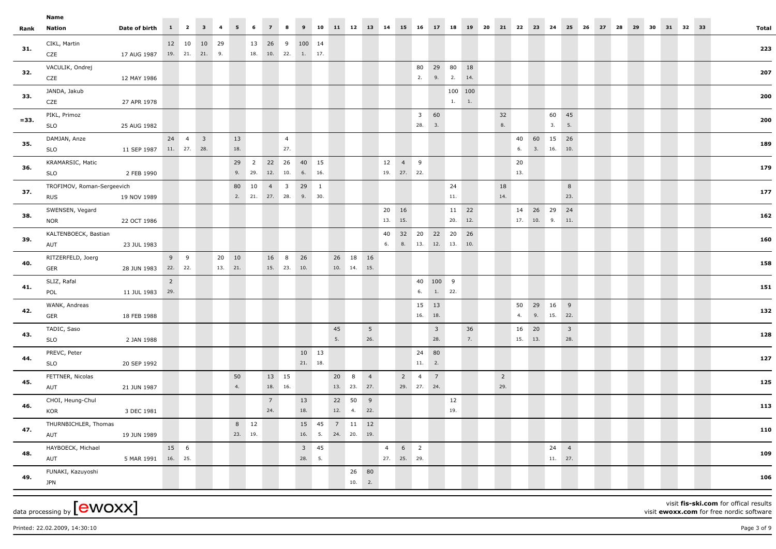|       |          |    |    |    |    |    |                                |                          |                  |     |                |    |                                                            |                                |                  |             |                |                        |       |                   |              |        |                |                                                             |                     |         |             |                      |             |                |                                | Name                            |         |
|-------|----------|----|----|----|----|----|--------------------------------|--------------------------|------------------|-----|----------------|----|------------------------------------------------------------|--------------------------------|------------------|-------------|----------------|------------------------|-------|-------------------|--------------|--------|----------------|-------------------------------------------------------------|---------------------|---------|-------------|----------------------|-------------|----------------|--------------------------------|---------------------------------|---------|
| Total | 31 32 33 | 30 | 29 | 28 | 27 | 26 | 25                             | 24                       | 23               |     | 21 22          | 20 | 19                                                         | 17 18                          | 15 16            |             |                | 10 11 12 13 14         |       |                   |              | 9      | 8              | $\overline{7}$                                              | 5 <sub>1</sub><br>6 |         | $3 \t 4$    |                      | $1 \quad 2$ |                | Date of birth                  | Nation                          | Rank    |
| 223   |          |    |    |    |    |    |                                |                          |                  |     |                |    |                                                            |                                |                  |             |                |                        |       |                   |              | 100 14 |                | 13 26 9<br>$18. \qquad 10. \qquad 22. \qquad 1. \qquad 17.$ |                     |         | 12 10 10 29 |                      |             |                | 17 AUG 1987  19.  21.  21.  9. | CIKL, Martin<br>CZE             | 31.     |
|       |          |    |    |    |    |    |                                |                          |                  |     |                |    | 80  29  80  18                                             |                                |                  |             |                |                        |       |                   |              |        |                |                                                             |                     |         |             |                      |             |                |                                | VACULIK, Ondrej                 |         |
| 207   |          |    |    |    |    |    |                                |                          |                  |     |                |    | 2. 14.                                                     | 2.9.                           |                  |             |                |                        |       |                   |              |        |                |                                                             |                     |         |             |                      |             |                | 12 MAY 1986                    | CZE                             | 32.     |
|       |          |    |    |    |    |    |                                |                          |                  |     |                |    | 100 100                                                    |                                |                  |             |                |                        |       |                   |              |        |                |                                                             |                     |         |             |                      |             |                |                                | JANDA, Jakub                    |         |
| 200   |          |    |    |    |    |    |                                |                          |                  |     |                |    | $1. \qquad 1. \qquad$                                      |                                |                  |             |                |                        |       |                   |              |        |                |                                                             |                     |         |             |                      |             |                | 27 APR 1978                    | CZE                             | 33.     |
|       |          |    |    |    |    |    | 60 45                          |                          |                  |     | 32             |    |                                                            |                                | $3\quad 60$      |             |                |                        |       |                   |              |        |                |                                                             |                     |         |             |                      |             |                |                                | PIKL, Primoz                    |         |
| 200   |          |    |    |    |    |    | 3. 5.                          |                          |                  |     | 8.             |    |                                                            |                                | 28. 3.           |             |                |                        |       |                   |              |        |                |                                                             |                     |         |             |                      |             |                | 25 AUG 1982                    | SLO                             | $= 33.$ |
|       |          |    |    |    |    |    |                                | 15 26                    | 60               | 40  |                |    |                                                            |                                |                  |             |                |                        |       |                   |              |        | $\overline{4}$ |                                                             |                     | 13      |             | $24 \quad 4 \quad 3$ |             |                |                                | DAMJAN, Anze                    |         |
| 189   |          |    |    |    |    |    |                                | 16. 10.                  | 3.               | 6.  |                |    |                                                            |                                |                  |             |                |                        |       |                   |              |        | 27.            |                                                             |                     | 18.     |             |                      |             |                | 11 SEP 1987 11. 27. 28.        | <b>SLO</b>                      | 35.     |
| 179   |          |    |    |    |    |    |                                |                          |                  | 20  |                |    |                                                            |                                |                  | 12 4 9      |                |                        |       |                   |              |        |                | 2 22 26 40 15                                               | 29                  |         |             |                      |             |                |                                | KRAMARSIC, Matic                | 36.     |
|       |          |    |    |    |    |    |                                |                          |                  | 13. |                |    |                                                            |                                |                  | 19. 27. 22. |                |                        |       |                   |              |        |                | 9. 29. 12. 10. 6. 16.                                       |                     |         |             |                      |             |                | 2 FEB 1990                     | <b>SLO</b>                      |         |
| 177   |          |    |    |    |    |    | $\,$ 8 $\,$                    |                          |                  |     | 18             |    | 24                                                         |                                |                  |             |                |                        |       |                   |              |        |                | 80 10 4 3 29 1                                              |                     |         |             |                      |             |                |                                | TROFIMOV, Roman-Sergeevich      | 37.     |
|       |          |    |    |    |    |    | 23.                            |                          |                  |     | 14.            |    | 11.                                                        |                                |                  |             |                |                        |       |                   | 9. 30.       |        |                | 2. 21. 27. 28.                                              |                     |         |             |                      |             |                | 19 NOV 1989                    | <b>RUS</b>                      |         |
| 162   |          |    |    |    |    |    | 24                             | 29                       | 26               | 14  |                |    | $11 22$                                                    |                                |                  | 20 16       |                |                        |       |                   |              |        |                |                                                             |                     |         |             |                      |             |                |                                | SWENSEN, Vegard                 | 38.     |
|       |          |    |    |    |    |    |                                | 17. 10. 9. 11.           |                  |     |                |    | 20. 12.                                                    |                                |                  | 15.         | 13.            |                        |       |                   |              |        |                |                                                             |                     |         |             |                      |             |                | 22 OCT 1986                    | <b>NOR</b>                      |         |
| 160   |          |    |    |    |    |    |                                |                          |                  |     |                |    | 32 20 22 20 26                                             |                                |                  |             | 40             |                        |       |                   |              |        |                |                                                             |                     |         |             |                      |             |                |                                | KALTENBOECK, Bastian            | 39.     |
|       |          |    |    |    |    |    |                                |                          |                  |     |                |    | $6. \qquad 8. \qquad 13. \qquad 12. \qquad 13. \qquad 10.$ |                                |                  |             |                |                        |       |                   |              |        |                |                                                             |                     |         |             |                      |             |                | 23 JUL 1983                    | AUT                             |         |
| 158   |          |    |    |    |    |    |                                |                          |                  |     |                |    |                                                            |                                |                  |             |                | 26 18 16               |       |                   |              | 26     | 16 8           |                                                             |                     | 20 10   |             |                      | $9 \t9$     |                |                                | RITZERFELD, Joerg               | 40.     |
|       |          |    |    |    |    |    |                                |                          |                  |     |                |    |                                                            |                                |                  |             |                | $10.$ 14. 15.          |       |                   |              | 10.    | 15. 23.        |                                                             |                     | 13. 21. |             |                      |             |                | 28 JUN 1983 22. 22.            | GER                             |         |
| 151   |          |    |    |    |    |    |                                |                          |                  |     |                |    |                                                            | 40 100 9                       |                  |             |                |                        |       |                   |              |        |                |                                                             |                     |         |             |                      |             | $\overline{2}$ |                                | SLIZ, Rafal                     | 41.     |
|       |          |    |    |    |    |    |                                |                          |                  |     |                |    |                                                            | 1. 22.                         | 6.               |             |                |                        |       |                   |              |        |                |                                                             |                     |         |             |                      |             |                | 11 JUL 1983 29.                | POL                             |         |
| 132   |          |    |    |    |    |    |                                | 50  29  16  9<br>15. 22. | 9.               | 4.  |                |    |                                                            |                                | 15 13<br>16. 18. |             |                |                        |       |                   |              |        |                |                                                             |                     |         |             |                      |             |                |                                | WANK, Andreas                   | 42.     |
|       |          |    |    |    |    |    |                                |                          |                  |     |                |    |                                                            |                                |                  |             |                |                        |       |                   |              |        |                |                                                             |                     |         |             |                      |             |                | 18 FEB 1988                    | GER                             |         |
| 128   |          |    |    |    |    |    | $\overline{\mathbf{3}}$<br>28. |                          | 16 20<br>15. 13. |     |                |    | 36<br>7.                                                   | $\overline{\mathbf{3}}$<br>28. |                  |             |                | $5\overline{)}$<br>26. |       | 45<br>5.          |              |        |                |                                                             |                     |         |             |                      |             |                | 2 JAN 1988                     | TADIC, Saso<br><b>SLO</b>       | 43.     |
|       |          |    |    |    |    |    |                                |                          |                  |     |                |    |                                                            |                                | 24 80            |             |                |                        |       |                   | $10\quad 13$ |        |                |                                                             |                     |         |             |                      |             |                |                                | PREVC, Peter                    |         |
| 127   |          |    |    |    |    |    |                                |                          |                  |     |                |    |                                                            |                                | 11. 2.           |             |                |                        |       |                   | 21. 18.      |        |                |                                                             |                     |         |             |                      |             |                | 20 SEP 1992                    | <b>SLO</b>                      | 44.     |
|       |          |    |    |    |    |    |                                |                          |                  |     | $\overline{2}$ |    |                                                            | $\overline{7}$                 | $\overline{4}$   | 2           |                | $\overline{4}$         | 20 8  |                   |              |        | 13 15          |                                                             |                     | 50      |             |                      |             |                |                                | FETTNER, Nicolas                |         |
| 125   |          |    |    |    |    |    |                                |                          |                  |     | 29.            |    |                                                            |                                | 29. 27. 24.      |             |                | 13. 23. 27.            |       |                   |              |        | 18. 16.        |                                                             |                     | 4.      |             |                      |             |                | 21 JUN 1987                    | AUT                             | 45.     |
|       |          |    |    |    |    |    |                                |                          |                  |     |                |    | 12                                                         |                                |                  |             |                | 9                      | 22 50 |                   |              | 13     |                | $7\overline{ }$                                             |                     |         |             |                      |             |                |                                | CHOI, Heung-Chul                |         |
| 113   |          |    |    |    |    |    |                                |                          |                  |     |                |    | 19.                                                        |                                |                  |             |                | 12. 4. 22.             |       |                   |              | 18.    |                | 24.                                                         |                     |         |             |                      |             |                | 3 DEC 1981                     | KOR                             | 46.     |
|       |          |    |    |    |    |    |                                |                          |                  |     |                |    |                                                            |                                |                  |             |                |                        |       | 15  45  7  11  12 |              |        |                |                                                             | 8 12                |         |             |                      |             |                |                                | THURNBICHLER, Thomas            |         |
| 110   |          |    |    |    |    |    |                                |                          |                  |     |                |    |                                                            |                                |                  |             |                | 16. 5. 24. 20. 19.     |       |                   |              |        |                |                                                             | 23. 19.             |         |             |                      |             |                | 19 JUN 1989                    | AUT                             | 47.     |
|       |          |    |    |    |    |    | 24 4                           |                          |                  |     |                |    |                                                            |                                | $6\quad 2$       |             | $\overline{4}$ |                        |       |                   | $3\quad 45$  |        |                |                                                             |                     |         |             |                      | 15 6        |                |                                | HAYBOECK, Michael               |         |
| 109   |          |    |    |    |    |    | 11. 27.                        |                          |                  |     |                |    |                                                            |                                |                  | 27. 25. 29. |                |                        |       |                   | 28. 5.       |        |                |                                                             |                     |         |             |                      | 16. 25.     |                | 5 MAR 1991                     | AUT                             | 48.     |
| 106   |          |    |    |    |    |    |                                |                          |                  |     |                |    |                                                            |                                |                  |             |                | 26 80<br>10. 2.        |       |                   |              |        |                |                                                             |                     |         |             |                      |             |                |                                | FUNAKI, Kazuyoshi<br><b>JPN</b> | 49.     |

Printed: 22.02.2009, 14:30:10 Page 3 of 9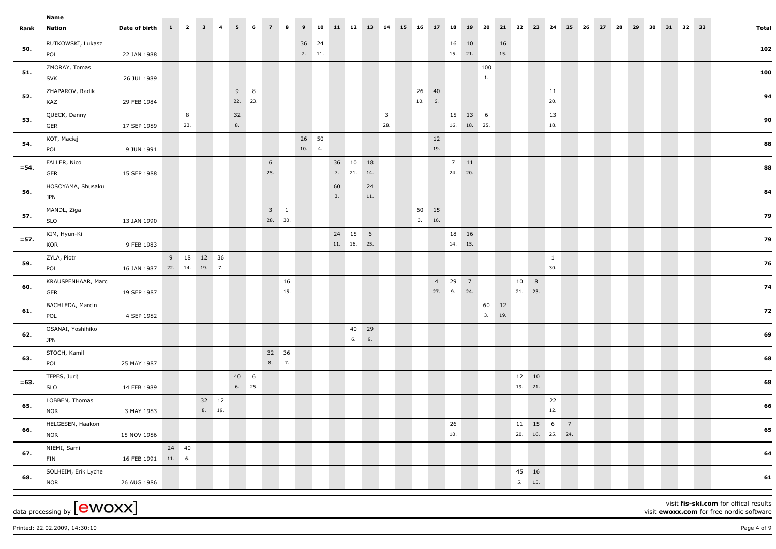| 19 20<br>21 22<br>31 32 33<br>17 18<br>23 24<br>26<br>27 28<br>30<br>25<br>29<br><b>Total</b><br>16 10<br>16<br>15.<br>15. 21.<br>100<br>100<br>1.<br>11<br>94<br>20. |  |  |                 | 15 16                          |           | 11 12 13 14            |          | $9 \t10$        | $7 \t 8$             |          | $5\qquad 6$         |          |                 |          |        | Date of birth 1 2 3 4      | Nation                            | Rank    |
|-----------------------------------------------------------------------------------------------------------------------------------------------------------------------|--|--|-----------------|--------------------------------|-----------|------------------------|----------|-----------------|----------------------|----------|---------------------|----------|-----------------|----------|--------|----------------------------|-----------------------------------|---------|
| 102                                                                                                                                                                   |  |  |                 |                                |           |                        |          |                 |                      |          |                     |          |                 |          |        |                            |                                   |         |
|                                                                                                                                                                       |  |  |                 |                                |           |                        |          | 36 24<br>7. 11. |                      |          |                     |          |                 |          |        | 22 JAN 1988                | RUTKOWSKI, Lukasz<br>POL          | 50.     |
|                                                                                                                                                                       |  |  |                 |                                |           |                        |          |                 |                      |          |                     |          |                 |          |        | 26 JUL 1989                | ZMORAY, Tomas<br><b>SVK</b>       | 51.     |
|                                                                                                                                                                       |  |  | 26 40<br>10. 6. |                                |           |                        |          |                 |                      |          | $9 \t 8$<br>22. 23. |          |                 |          |        | 29 FEB 1984                | ZHAPAROV, Radik<br>KAZ            | 52.     |
| 15 13 6<br>13<br>90<br>$16.$ 18. 25.<br>18.                                                                                                                           |  |  |                 | $\overline{\mathbf{3}}$<br>28. |           |                        |          |                 |                      |          |                     | 32<br>8. |                 | 8<br>23. |        | 17 SEP 1989                | QUECK, Danny<br>GER               | 53.     |
| 88<br>19.                                                                                                                                                             |  |  | 12              |                                |           |                        |          | 26 50<br>10. 4. |                      |          |                     |          |                 |          |        | 9 JUN 1991                 | KOT, Maciej<br>POL                | 54.     |
| $7 \quad 11$<br>88<br>24. 20.                                                                                                                                         |  |  |                 |                                |           | 36 10 18<br>7. 21. 14. |          |                 |                      | 6<br>25. |                     |          |                 |          |        | 15 SEP 1988                | FALLER, Nico<br>GER               | $= 54.$ |
| 84                                                                                                                                                                    |  |  |                 |                                | 24<br>11. |                        | 60<br>3. |                 |                      |          |                     |          |                 |          |        |                            | HOSOYAMA, Shusaku<br><b>JPN</b>   | 56.     |
| 79                                                                                                                                                                    |  |  | 60 15<br>3. 16. |                                |           |                        |          |                 | $3\quad1$<br>28. 30. |          |                     |          |                 |          |        | 13 JAN 1990                | MANDL, Ziga<br><b>SLO</b>         | 57.     |
| 18 16<br>79<br>14. 15.                                                                                                                                                |  |  |                 |                                |           | 24 15 6<br>11. 16. 25. |          |                 |                      |          |                     |          |                 |          |        | 9 FEB 1983                 | KIM, Hyun-Ki<br>KOR               | $= 57.$ |
| $\overline{1}$<br>76<br>30.                                                                                                                                           |  |  |                 |                                |           |                        |          |                 |                      |          |                     |          | 9 18 12 36      |          |        | 16 JAN 1987 22. 14. 19. 7. | ZYLA, Piotr<br>POL                | 59.     |
| 4 29 7<br>10 8<br>74<br>27. 9. 24.<br>21. 23.                                                                                                                         |  |  |                 |                                |           |                        |          |                 | 16<br>15.            |          |                     |          |                 |          |        | 19 SEP 1987                | KRAUSPENHAAR, Marc<br>GER         | 60.     |
| 60 12<br>72<br>3. 19.                                                                                                                                                 |  |  |                 |                                |           |                        |          |                 |                      |          |                     |          |                 |          |        | 4 SEP 1982                 | BACHLEDA, Marcin<br>POL           | 61.     |
| 69                                                                                                                                                                    |  |  |                 |                                |           | 40 29<br>6. 9.         |          |                 |                      |          |                     |          |                 |          |        |                            | OSANAI, Yoshihiko<br><b>JPN</b>   | 62.     |
| 68                                                                                                                                                                    |  |  |                 |                                |           |                        |          |                 | 32 36<br>8.7.        |          |                     |          |                 |          |        | 25 MAY 1987                | STOCH, Kamil<br>POL               | 63.     |
| 12 10<br>68<br>19. 21.                                                                                                                                                |  |  |                 |                                |           |                        |          |                 |                      |          | 40 6<br>6. 25.      |          |                 |          |        | 14 FEB 1989                | TEPES, Jurij<br><b>SLO</b>        | $= 63.$ |
| 22<br>66<br>12.                                                                                                                                                       |  |  |                 |                                |           |                        |          |                 |                      |          |                     |          | 32 12<br>8. 19. |          |        | 3 MAY 1983                 | LOBBEN, Thomas<br><b>NOR</b>      | 65.     |
| $11 \qquad 15 \qquad 6 \qquad 7$<br>26<br>65<br>$10.$<br>20. 16. 25. 24.                                                                                              |  |  |                 |                                |           |                        |          |                 |                      |          |                     |          |                 |          |        | 15 NOV 1986                | HELGESEN, Haakon<br><b>NOR</b>    | 66.     |
| 64                                                                                                                                                                    |  |  |                 |                                |           |                        |          |                 |                      |          |                     |          |                 | 24 40    | 11. 6. | 16 FEB 1991                | NIEMI, Sami<br>FIN                | 67.     |
| 45 16<br>61<br>5. 15.                                                                                                                                                 |  |  |                 |                                |           |                        |          |                 |                      |          |                     |          |                 |          |        | 26 AUG 1986                | SOLHEIM, Erik Lyche<br><b>NOR</b> | 68.     |

Printed: 22.02.2009, 14:30:10 Page 4 of 9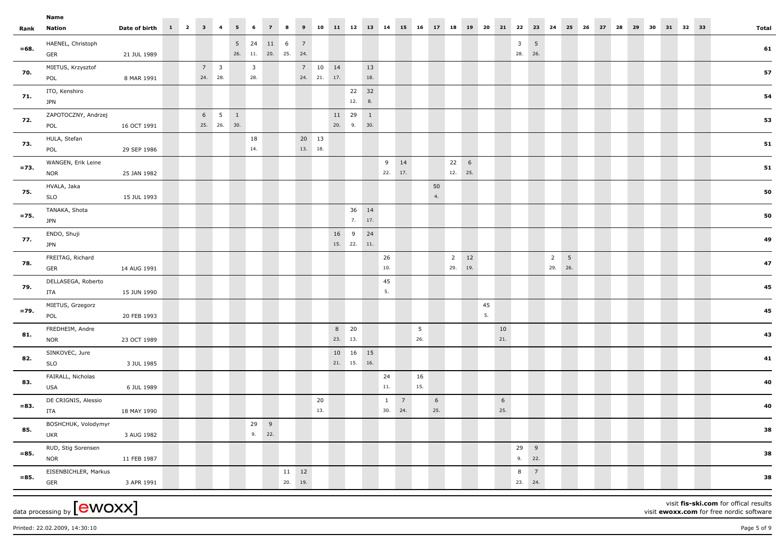|         | Name                             |                       |  |                        |             |                       |                                  |                |                           |                  |                                        |                             |                 |           |                         |                 |                        |                        |                           |       |          |           |                                    |                 |                        |       |       |       |  |          |       |    |
|---------|----------------------------------|-----------------------|--|------------------------|-------------|-----------------------|----------------------------------|----------------|---------------------------|------------------|----------------------------------------|-----------------------------|-----------------|-----------|-------------------------|-----------------|------------------------|------------------------|---------------------------|-------|----------|-----------|------------------------------------|-----------------|------------------------|-------|-------|-------|--|----------|-------|----|
|         | <b>Rank Nation</b>               | Date of birth 1 2 3 4 |  |                        |             | $5 \t 6$              |                                  | $\overline{7}$ | 8                         | 9                |                                        | 10 11 12 13 14 15 16 17 18  |                 |           |                         |                 |                        |                        |                           | 19 20 |          |           |                                    | 21  22  23  24  |                        | 25 26 | 27 28 | 29 30 |  | 31 32 33 | Total |    |
| $= 68.$ | HAENEL, Christoph<br>GER         | 21 JUL 1989           |  |                        |             |                       | 5 24 11 6<br>26. 11. 20. 25. 24. |                |                           | $\overline{7}$   |                                        |                             |                 |           |                         |                 |                        |                        |                           |       |          |           | $\overline{\mathbf{3}}$<br>28. 26. | $5\overline{)}$ |                        |       |       |       |  |          |       | 61 |
| 70.     | MIETUS, Krzysztof<br>POL         | 8 MAR 1991            |  | $7 \quad 3$<br>24. 28. |             |                       | $\overline{\mathbf{3}}$<br>28.   |                |                           |                  | $7 \qquad 10 \qquad 14$<br>24. 21. 17. |                             |                 | 13<br>18. |                         |                 |                        |                        |                           |       |          |           |                                    |                 |                        |       |       |       |  |          |       | 57 |
| 71.     | ITO, Kenshiro<br><b>JPN</b>      |                       |  |                        |             |                       |                                  |                |                           |                  |                                        |                             | 22 32<br>12. 8. |           |                         |                 |                        |                        |                           |       |          |           |                                    |                 |                        |       |       |       |  |          |       | 54 |
| 72.     | ZAPOTOCZNY, Andrzej<br>POL       | 16 OCT 1991           |  |                        | 25. 26. 30. | $6 \qquad 5 \qquad 1$ |                                  |                |                           |                  |                                        | 11 29 1<br>20. 9. 30.       |                 |           |                         |                 |                        |                        |                           |       |          |           |                                    |                 |                        |       |       |       |  |          |       | 53 |
| 73.     | HULA, Stefan<br>POL              | 29 SEP 1986           |  |                        |             |                       | 18<br>14.                        |                |                           | 20 13<br>13. 18. |                                        |                             |                 |           |                         |                 |                        |                        |                           |       |          |           |                                    |                 |                        |       |       |       |  |          |       | 51 |
| $= 73.$ | WANGEN, Erik Leine<br><b>NOR</b> | 25 JAN 1982           |  |                        |             |                       |                                  |                |                           |                  |                                        |                             |                 |           | 9 14<br>22. 17.         |                 |                        |                        | $22 \t 6$<br>12. 25.      |       |          |           |                                    |                 |                        |       |       |       |  |          |       | 51 |
| 75.     | HVALA, Jaka<br><b>SLO</b>        | 15 JUL 1993           |  |                        |             |                       |                                  |                |                           |                  |                                        |                             |                 |           |                         |                 |                        | 50<br>4.               |                           |       |          |           |                                    |                 |                        |       |       |       |  |          |       | 50 |
| $= 75.$ | TANAKA, Shota<br><b>JPN</b>      |                       |  |                        |             |                       |                                  |                |                           |                  |                                        |                             | 36 14<br>7. 17. |           |                         |                 |                        |                        |                           |       |          |           |                                    |                 |                        |       |       |       |  |          |       | 50 |
| 77.     | ENDO, Shuji<br><b>JPN</b>        |                       |  |                        |             |                       |                                  |                |                           |                  |                                        | 16 9 24<br>15. 22. 11.      |                 |           |                         |                 |                        |                        |                           |       |          |           |                                    |                 |                        |       |       |       |  |          |       | 49 |
| 78.     | FREITAG, Richard<br>GER          | 14 AUG 1991           |  |                        |             |                       |                                  |                |                           |                  |                                        |                             |                 |           | 26<br>10.               |                 |                        |                        | $\overline{2}$<br>29. 19. | 12    |          |           |                                    |                 | $2 \quad 5$<br>29. 26. |       |       |       |  |          |       | 47 |
| 79.     | DELLASEGA, Roberto<br>ITA        | 15 JUN 1990           |  |                        |             |                       |                                  |                |                           |                  |                                        |                             |                 |           | 45<br>5.                |                 |                        |                        |                           |       |          |           |                                    |                 |                        |       |       |       |  |          |       | 45 |
| $=79.$  | MIETUS, Grzegorz<br>POL          | 20 FEB 1993           |  |                        |             |                       |                                  |                |                           |                  |                                        |                             |                 |           |                         |                 |                        |                        |                           |       | 45<br>5. |           |                                    |                 |                        |       |       |       |  |          |       | 45 |
| 81.     | FREDHEIM, Andre<br><b>NOR</b>    | 23 OCT 1989           |  |                        |             |                       |                                  |                |                           |                  |                                        | 8 20<br>23. 13.             |                 |           |                         |                 | $5\overline{5}$<br>26. |                        |                           |       |          | 10<br>21. |                                    |                 |                        |       |       |       |  |          |       | 43 |
| 82.     | SINKOVEC, Jure<br><b>SLO</b>     | 3 JUL 1985            |  |                        |             |                       |                                  |                |                           |                  |                                        | 10  16  15<br>$21.$ 15. 16. |                 |           |                         |                 |                        |                        |                           |       |          |           |                                    |                 |                        |       |       |       |  |          |       | 41 |
| 83.     | FAIRALL, Nicholas<br>USA         | 6 JUL 1989            |  |                        |             |                       |                                  |                |                           |                  |                                        |                             |                 |           | 24<br>11.               |                 | 16<br>15.              |                        |                           |       |          |           |                                    |                 |                        |       |       |       |  |          |       | 40 |
| $= 83.$ | DE CRIGNIS, Alessio<br>ITA       | 18 MAY 1990           |  |                        |             |                       |                                  |                |                           |                  | 20<br>13.                              |                             |                 |           | $\mathbf{1}$<br>30. 24. | $7\overline{ }$ |                        | $6\overline{6}$<br>25. |                           |       |          | 6<br>25.  |                                    |                 |                        |       |       |       |  |          |       | 40 |
| 85.     | BOSHCHUK, Volodymyr<br>UKR       | 3 AUG 1982            |  |                        |             |                       | 29 9<br>9. 22.                   |                |                           |                  |                                        |                             |                 |           |                         |                 |                        |                        |                           |       |          |           |                                    |                 |                        |       |       |       |  |          |       | 38 |
| $= 85.$ | RUD, Stig Sorensen<br><b>NOR</b> | 11 FEB 1987           |  |                        |             |                       |                                  |                |                           |                  |                                        |                             |                 |           |                         |                 |                        |                        |                           |       |          |           | 29 9<br>9. 22.                     |                 |                        |       |       |       |  |          |       | 38 |
| $= 85.$ | EISENBICHLER, Markus<br>GER      | 3 APR 1991            |  |                        |             |                       |                                  |                | $11 \qquad 12$<br>20. 19. |                  |                                        |                             |                 |           |                         |                 |                        |                        |                           |       |          |           | 8<br>23. 24.                       | $\overline{7}$  |                        |       |       |       |  |          |       | 38 |
|         |                                  |                       |  |                        |             |                       |                                  |                |                           |                  |                                        |                             |                 |           |                         |                 |                        |                        |                           |       |          |           |                                    |                 |                        |       |       |       |  |          |       |    |

data processing by  ${\rm [ewoxx]}$ 

visit **fis-ski.com** for offical results

visit **ewoxx.com** for free nordic software

Printed: 22.02.2009, 14:30:10 Page 5 of 9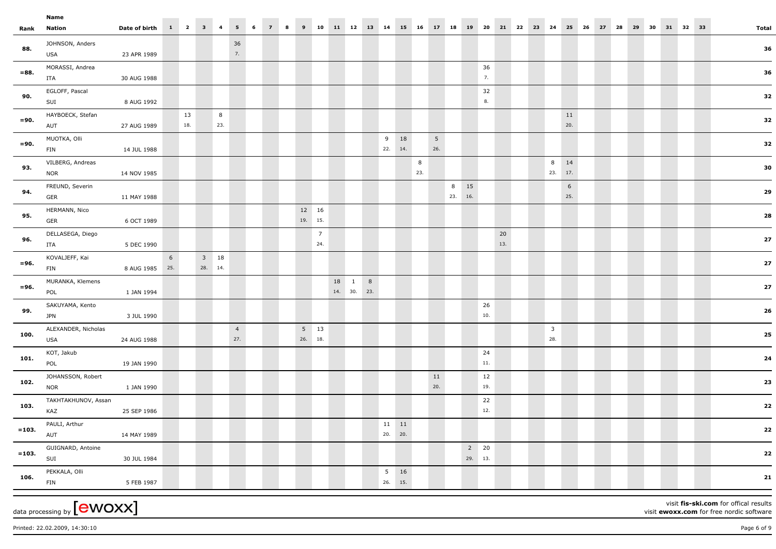|                               |    |    |                        |                                |          |       |                   |                 |                        |          |                           |     |                                       |       |                |                         |   |                     |                        |               |             |           |                |                   | Name                            |          |
|-------------------------------|----|----|------------------------|--------------------------------|----------|-------|-------------------|-----------------|------------------------|----------|---------------------------|-----|---------------------------------------|-------|----------------|-------------------------|---|---------------------|------------------------|---------------|-------------|-----------|----------------|-------------------|---------------------------------|----------|
| 31 32 33<br>30<br>29<br>Total | 28 | 27 | 25<br>26               |                                | 23<br>24 | 21 22 | 20                | 18<br>19        | 17                     | 16       | 15                        | 14  | 13                                    | 11 12 | 10             | 9                       | 8 | 6<br>$\overline{z}$ | 5 <sub>5</sub>         |               | $3 \quad 4$ |           |                | Date of birth 1 2 | Rank Nation                     |          |
| 36                            |    |    |                        |                                |          |       |                   |                 |                        |          |                           |     |                                       |       |                |                         |   |                     | 36<br>$\overline{7}$ . |               |             |           |                | 23 APR 1989       | JOHNSON, Anders<br>USA          | 88.      |
| 36                            |    |    |                        |                                |          |       | 36<br>7.          |                 |                        |          |                           |     |                                       |       |                |                         |   |                     |                        |               |             |           |                | 30 AUG 1988       | MORASSI, Andrea<br>ITA          | $= 88.$  |
| 32                            |    |    |                        |                                |          |       | 32<br>8.          |                 |                        |          |                           |     |                                       |       |                |                         |   |                     |                        |               |             |           |                | 8 AUG 1992        | EGLOFF, Pascal<br>SUI           | 90.      |
| 32                            |    |    | 11<br>20.              |                                |          |       |                   |                 |                        |          |                           |     |                                       |       |                |                         |   |                     |                        | 8<br>23.      |             | 13<br>18. |                | 27 AUG 1989       | HAYBOECK, Stefan<br>AUT         | $= 90.$  |
| 32                            |    |    |                        |                                |          |       |                   |                 | $5\overline{)}$<br>26. |          | 9 18<br>14.               | 22. |                                       |       |                |                         |   |                     |                        |               |             |           |                | 14 JUL 1988       | MUOTKA, Olli<br>FIN             | $= 90.$  |
| 30                            |    |    |                        | 8 14<br>23. 17.                |          |       |                   |                 |                        | 8<br>23. |                           |     |                                       |       |                |                         |   |                     |                        |               |             |           |                | 14 NOV 1985       | VILBERG, Andreas<br><b>NOR</b>  | 93.      |
| 29                            |    |    | $6\overline{6}$<br>25. |                                |          |       |                   | 8 15<br>23. 16. |                        |          |                           |     |                                       |       |                |                         |   |                     |                        |               |             |           |                |                   | FREUND, Severin                 | 94.      |
| 28                            |    |    |                        |                                |          |       |                   |                 |                        |          |                           |     |                                       |       |                | 12 16                   |   |                     |                        |               |             |           |                | 11 MAY 1988       | GER<br>HERMANN, Nico            | 95.      |
| 27                            |    |    |                        |                                |          | 20    |                   |                 |                        |          |                           |     |                                       |       | $\overline{7}$ | 19. 15.                 |   |                     |                        |               |             |           |                | 6 OCT 1989        | GER<br>DELLASEGA, Diego         | 96.      |
| 27                            |    |    |                        |                                |          | 13.   |                   |                 |                        |          |                           |     |                                       |       | 24.            |                         |   |                     |                        | $3 \qquad 18$ |             |           | 6 <sup>6</sup> | 5 DEC 1990        | ITA<br>KOVALJEFF, Kai           | $= 96.$  |
|                               |    |    |                        |                                |          |       |                   |                 |                        |          |                           |     |                                       |       |                |                         |   |                     |                        | 28. 14.       |             |           |                | 8 AUG 1985 25.    | FIN                             |          |
| 27                            |    |    |                        |                                |          |       |                   |                 |                        |          |                           |     | $18 \qquad 1 \qquad 8$<br>14. 30. 23. |       |                |                         |   |                     |                        |               |             |           |                | 1 JAN 1994        | MURANKA, Klemens<br>POL         | $= 96.$  |
| 26                            |    |    |                        |                                |          |       | 26<br>10.         |                 |                        |          |                           |     |                                       |       |                |                         |   |                     |                        |               |             |           |                | 3 JUL 1990        | SAKUYAMA, Kento<br><b>JPN</b>   | 99.      |
| 25                            |    |    |                        | $\overline{\mathbf{3}}$<br>28. |          |       |                   |                 |                        |          |                           |     |                                       |       |                | $5 \quad 13$<br>26. 18. |   |                     | $\overline{4}$<br>27.  |               |             |           |                | 24 AUG 1988       | ALEXANDER, Nicholas<br>USA      | 100.     |
| 24                            |    |    |                        |                                |          |       | 24<br>11.         |                 |                        |          |                           |     |                                       |       |                |                         |   |                     |                        |               |             |           |                | 19 JAN 1990       | KOT, Jakub<br>POL               | 101.     |
| 23                            |    |    |                        |                                |          |       | 12<br>19.         |                 | 11<br>20.              |          |                           |     |                                       |       |                |                         |   |                     |                        |               |             |           |                | 1 JAN 1990        | JOHANSSON, Robert<br><b>NOR</b> | 102.     |
| 22                            |    |    |                        |                                |          |       | 22<br>12.         |                 |                        |          |                           |     |                                       |       |                |                         |   |                     |                        |               |             |           |                | 25 SEP 1986       | TAKHTAKHUNOV, Assan<br>KAZ      | 103.     |
| 22                            |    |    |                        |                                |          |       |                   |                 |                        |          | $11 \qquad 11$<br>20. 20. |     |                                       |       |                |                         |   |                     |                        |               |             |           |                | 14 MAY 1989       | PAULI, Arthur<br>AUT            | $= 103.$ |
| 22                            |    |    |                        |                                |          |       | $2 20$<br>29. 13. |                 |                        |          |                           |     |                                       |       |                |                         |   |                     |                        |               |             |           |                | 30 JUL 1984       | GUIGNARD, Antoine<br>SUI        | $= 103.$ |
| 21                            |    |    |                        |                                |          |       |                   |                 |                        |          | $5\quad 16$<br>26. 15.    |     |                                       |       |                |                         |   |                     |                        |               |             |           |                | 5 FEB 1987        | PEKKALA, Olli<br>FIN            | 106.     |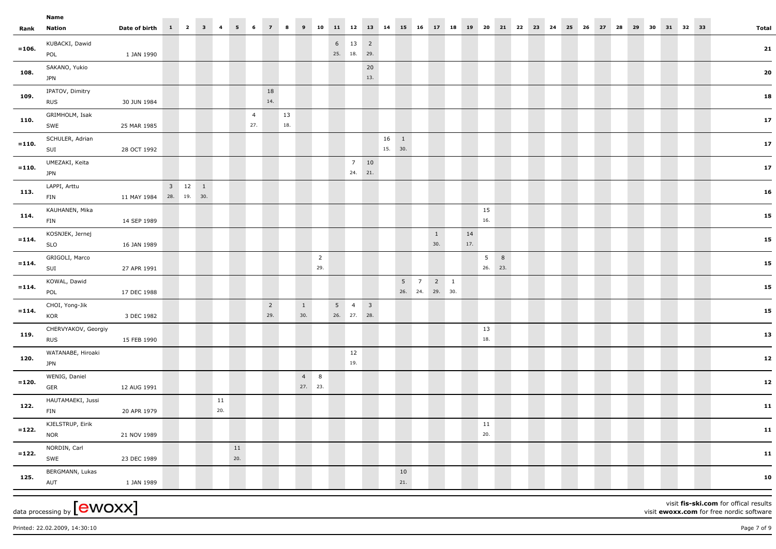|          | Name                                           |                         |                        |           |           |                       |                       |           |                        |                       |             |                                       |             |                 |               |                                                   |                     |           |                           |       |    |    |    |    |    |    |    |    |          |                                                                                   |
|----------|------------------------------------------------|-------------------------|------------------------|-----------|-----------|-----------------------|-----------------------|-----------|------------------------|-----------------------|-------------|---------------------------------------|-------------|-----------------|---------------|---------------------------------------------------|---------------------|-----------|---------------------------|-------|----|----|----|----|----|----|----|----|----------|-----------------------------------------------------------------------------------|
|          | Rank Nation                                    | Date of birth 1 2 3 4   |                        |           |           | $5 \t 6$              | 7 <sup>7</sup>        | $\bf{8}$  | 9                      | 10                    | 11 12 13 14 |                                       |             |                 | 15 16         |                                                   | 17 18               | 20<br>19  |                           | 21 22 | 23 | 24 | 25 | 26 | 27 | 28 | 29 | 30 | 31 32 33 | <b>Total</b>                                                                      |
| $= 106.$ | KUBACKI, Dawid<br>POL                          | 1 JAN 1990              |                        |           |           |                       |                       |           |                        |                       |             | $6 \qquad 13 \qquad 2$<br>25. 18. 29. |             |                 |               |                                                   |                     |           |                           |       |    |    |    |    |    |    |    |    |          | 21                                                                                |
| 108.     | SAKANO, Yukio<br><b>JPN</b>                    |                         |                        |           |           |                       |                       |           |                        |                       |             |                                       | 20<br>13.   |                 |               |                                                   |                     |           |                           |       |    |    |    |    |    |    |    |    |          | 20                                                                                |
| 109.     | IPATOV, Dimitry<br><b>RUS</b>                  | 30 JUN 1984             |                        |           |           |                       | 18<br>14.             |           |                        |                       |             |                                       |             |                 |               |                                                   |                     |           |                           |       |    |    |    |    |    |    |    |    |          | 18                                                                                |
| 110.     | GRIMHOLM, Isak<br>SWE                          | 25 MAR 1985             |                        |           |           | $\overline{4}$<br>27. |                       | 13<br>18. |                        |                       |             |                                       |             |                 |               |                                                   |                     |           |                           |       |    |    |    |    |    |    |    |    |          | 17 <sub>2</sub>                                                                   |
| $= 110.$ | SCHULER, Adrian<br>SUI                         | 28 OCT 1992             |                        |           |           |                       |                       |           |                        |                       |             |                                       |             | 16 1<br>15. 30. |               |                                                   |                     |           |                           |       |    |    |    |    |    |    |    |    |          | 17                                                                                |
| $= 110.$ | UMEZAKI, Keita<br><b>JPN</b>                   |                         |                        |           |           |                       |                       |           |                        |                       |             | 24. 21.                               | $7\quad 10$ |                 |               |                                                   |                     |           |                           |       |    |    |    |    |    |    |    |    |          | 17                                                                                |
| 113.     | LAPPI, Arttu<br>FIN                            | 11 MAY 1984 28. 19. 30. | $3 \qquad 12 \qquad 1$ |           |           |                       |                       |           |                        |                       |             |                                       |             |                 |               |                                                   |                     |           |                           |       |    |    |    |    |    |    |    |    |          | 16                                                                                |
| 114.     | KAUHANEN, Mika<br>FIN                          | 14 SEP 1989             |                        |           |           |                       |                       |           |                        |                       |             |                                       |             |                 |               |                                                   |                     | 15<br>16. |                           |       |    |    |    |    |    |    |    |    |          | 15                                                                                |
| $= 114.$ | KOSNJEK, Jernej<br><b>SLO</b>                  | 16 JAN 1989             |                        |           |           |                       |                       |           |                        |                       |             |                                       |             |                 |               |                                                   | $\mathbf{1}$<br>30. | 14<br>17. |                           |       |    |    |    |    |    |    |    |    |          | 15                                                                                |
| $= 114.$ | GRIGOLI, Marco<br>SUI                          | 27 APR 1991             |                        |           |           |                       |                       |           |                        | $\overline{2}$<br>29. |             |                                       |             |                 |               |                                                   |                     |           | 5 <sup>1</sup><br>26. 23. | 8     |    |    |    |    |    |    |    |    |          | 15                                                                                |
| $= 114.$ | KOWAL, Dawid<br>POL                            | 17 DEC 1988             |                        |           |           |                       |                       |           |                        |                       |             |                                       |             |                 |               | $5 \qquad 7 \qquad 2 \qquad 1$<br>26. 24. 29. 30. |                     |           |                           |       |    |    |    |    |    |    |    |    |          | 15                                                                                |
| $= 114.$ | CHOI, Yong-Jik<br>KOR                          | 3 DEC 1982              |                        |           |           |                       | $\overline{2}$<br>29. |           | $\mathbf{1}$<br>30.    |                       |             | $5 \t 4 \t 3$<br>26. 27. 28.          |             |                 |               |                                                   |                     |           |                           |       |    |    |    |    |    |    |    |    |          | 15                                                                                |
| 119      | CHERVYAKOV, Georgiy<br><b>RUS</b>              | 15 FEB 1990             |                        |           |           |                       |                       |           |                        |                       |             |                                       |             |                 |               |                                                   |                     | 13<br>18. |                           |       |    |    |    |    |    |    |    |    |          | 13                                                                                |
| 120.     | WATANABE, Hiroaki<br><b>JPN</b>                |                         |                        |           |           |                       |                       |           |                        |                       |             | 12<br>19.                             |             |                 |               |                                                   |                     |           |                           |       |    |    |    |    |    |    |    |    |          | 12                                                                                |
| $= 120.$ | WENIG, Daniel<br>GER                           | 12 AUG 1991             |                        |           |           |                       |                       |           | $4 \quad 8$<br>27. 23. |                       |             |                                       |             |                 |               |                                                   |                     |           |                           |       |    |    |    |    |    |    |    |    |          | 12                                                                                |
| 122.     | HAUTAMAEKI, Jussi<br>FIN                       | 20 APR 1979             |                        | 11<br>20. |           |                       |                       |           |                        |                       |             |                                       |             |                 |               |                                                   |                     |           |                           |       |    |    |    |    |    |    |    |    |          | 11                                                                                |
| $= 122.$ | KJELSTRUP, Eirik<br><b>NOR</b>                 | 21 NOV 1989             |                        |           |           |                       |                       |           |                        |                       |             |                                       |             |                 |               |                                                   |                     | 11<br>20. |                           |       |    |    |    |    |    |    |    |    |          | $\bf 11$                                                                          |
| $= 122.$ | NORDIN, Carl<br>SWE                            | 23 DEC 1989             |                        |           | 11<br>20. |                       |                       |           |                        |                       |             |                                       |             |                 |               |                                                   |                     |           |                           |       |    |    |    |    |    |    |    |    |          | 11                                                                                |
| 125.     | BERGMANN, Lukas<br>AUT                         | 1 JAN 1989              |                        |           |           |                       |                       |           |                        |                       |             |                                       |             |                 | $10\,$<br>21. |                                                   |                     |           |                           |       |    |    |    |    |    |    |    |    |          | 10                                                                                |
|          | data processing by $\left[\text{ewoxx}\right]$ |                         |                        |           |           |                       |                       |           |                        |                       |             |                                       |             |                 |               |                                                   |                     |           |                           |       |    |    |    |    |    |    |    |    |          | visit fis-ski.com for offical results<br>visit ewoxx.com for free nordic software |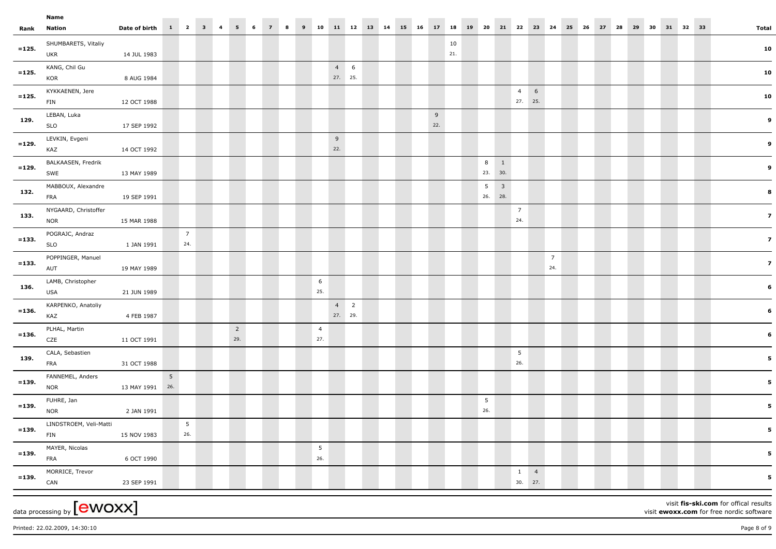|          | Name                                            |                       |                |                       |  |                |   |                |   |   |                |            |    |    |       |       |           |                        |                       |                |                 |    |    |    |    |    |    |          |                                                                                   |
|----------|-------------------------------------------------|-----------------------|----------------|-----------------------|--|----------------|---|----------------|---|---|----------------|------------|----|----|-------|-------|-----------|------------------------|-----------------------|----------------|-----------------|----|----|----|----|----|----|----------|-----------------------------------------------------------------------------------|
|          | Rank Nation                                     | Date of birth 1 2 3 4 |                |                       |  | 5              | 6 | $\overline{7}$ | 8 | 9 | 10             | 11 12      | 13 | 14 | 15 16 | 17 18 | 19        | 20                     | 21 22                 | 23             | 24              | 25 | 26 | 27 | 28 | 29 | 30 | 31 32 33 | <b>Total</b>                                                                      |
| $= 125.$ | SHUMBARETS, Vitaliy<br>UKR                      | 14 JUL 1983           |                |                       |  |                |   |                |   |   |                |            |    |    |       |       | 10<br>21. |                        |                       |                |                 |    |    |    |    |    |    |          | 10                                                                                |
| $= 125.$ | KANG, Chil Gu                                   |                       |                |                       |  |                |   |                |   |   |                | $4\quad 6$ |    |    |       |       |           |                        |                       |                |                 |    |    |    |    |    |    |          | 10                                                                                |
|          | KOR                                             | 8 AUG 1984            |                |                       |  |                |   |                |   |   |                | 27. 25.    |    |    |       |       |           |                        |                       |                |                 |    |    |    |    |    |    |          |                                                                                   |
| $= 125.$ | KYKKAENEN, Jere                                 |                       |                |                       |  |                |   |                |   |   |                |            |    |    |       |       |           |                        |                       | $\overline{4}$ | $6\overline{6}$ |    |    |    |    |    |    |          | 10                                                                                |
|          | FIN                                             | 12 OCT 1988           |                |                       |  |                |   |                |   |   |                |            |    |    |       |       |           |                        |                       | 27. 25.        |                 |    |    |    |    |    |    |          |                                                                                   |
| 129.     | LEBAN, Luka                                     |                       |                |                       |  |                |   |                |   |   |                |            |    |    |       | 9     |           |                        |                       |                |                 |    |    |    |    |    |    |          | 9                                                                                 |
|          | SLO                                             | 17 SEP 1992           |                |                       |  |                |   |                |   |   |                |            |    |    |       | 22.   |           |                        |                       |                |                 |    |    |    |    |    |    |          |                                                                                   |
| $= 129.$ | LEVKIN, Evgeni                                  |                       |                |                       |  |                |   |                |   |   |                | 9<br>22.   |    |    |       |       |           |                        |                       |                |                 |    |    |    |    |    |    |          | 9                                                                                 |
|          | KAZ                                             | 14 OCT 1992           |                |                       |  |                |   |                |   |   |                |            |    |    |       |       |           |                        |                       |                |                 |    |    |    |    |    |    |          |                                                                                   |
| $= 129.$ | BALKAASEN, Fredrik                              |                       |                |                       |  |                |   |                |   |   |                |            |    |    |       |       |           | $8 \quad 1$<br>23. 30. |                       |                |                 |    |    |    |    |    |    |          | 9                                                                                 |
|          | SWE                                             | 13 MAY 1989           |                |                       |  |                |   |                |   |   |                |            |    |    |       |       |           |                        |                       |                |                 |    |    |    |    |    |    |          |                                                                                   |
| 132      | MABBOUX, Alexandre                              |                       |                |                       |  |                |   |                |   |   |                |            |    |    |       |       |           | $5 \quad 3$<br>26. 28. |                       |                |                 |    |    |    |    |    |    |          | 8                                                                                 |
|          | <b>FRA</b>                                      | 19 SEP 1991           |                |                       |  |                |   |                |   |   |                |            |    |    |       |       |           |                        |                       |                |                 |    |    |    |    |    |    |          |                                                                                   |
| 133.     | NYGAARD, Christoffer                            |                       |                |                       |  |                |   |                |   |   |                |            |    |    |       |       |           |                        | $\overline{7}$<br>24. |                |                 |    |    |    |    |    |    |          | 7 <sup>1</sup>                                                                    |
|          | <b>NOR</b><br>POGRAJC, Andraz                   | 15 MAR 1988           |                |                       |  |                |   |                |   |   |                |            |    |    |       |       |           |                        |                       |                |                 |    |    |    |    |    |    |          |                                                                                   |
| $= 133.$ | SLO                                             | 1 JAN 1991            |                | $\overline{7}$<br>24. |  |                |   |                |   |   |                |            |    |    |       |       |           |                        |                       |                |                 |    |    |    |    |    |    |          | $\overline{z}$                                                                    |
|          | POPPINGER, Manuel                               |                       |                |                       |  |                |   |                |   |   |                |            |    |    |       |       |           |                        |                       |                | $\overline{7}$  |    |    |    |    |    |    |          |                                                                                   |
| $= 133.$ | AUT                                             | 19 MAY 1989           |                |                       |  |                |   |                |   |   |                |            |    |    |       |       |           |                        |                       |                | 24.             |    |    |    |    |    |    |          | 7 <sup>1</sup>                                                                    |
|          | LAMB, Christopher                               |                       |                |                       |  |                |   |                |   |   | 6              |            |    |    |       |       |           |                        |                       |                |                 |    |    |    |    |    |    |          |                                                                                   |
| 136.     | USA                                             | 21 JUN 1989           |                |                       |  |                |   |                |   |   | 25.            |            |    |    |       |       |           |                        |                       |                |                 |    |    |    |    |    |    |          | 6                                                                                 |
|          | KARPENKO, Anatoliy                              |                       |                |                       |  |                |   |                |   |   |                | $4\quad 2$ |    |    |       |       |           |                        |                       |                |                 |    |    |    |    |    |    |          |                                                                                   |
| $= 136.$ | KAZ                                             | 4 FEB 1987            |                |                       |  |                |   |                |   |   |                | 27. 29.    |    |    |       |       |           |                        |                       |                |                 |    |    |    |    |    |    |          | 6                                                                                 |
|          | PLHAL, Martin                                   |                       |                |                       |  | $\overline{2}$ |   |                |   |   | $\overline{4}$ |            |    |    |       |       |           |                        |                       |                |                 |    |    |    |    |    |    |          |                                                                                   |
| $= 136.$ | CZE                                             | 11 OCT 1991           |                |                       |  | 29.            |   |                |   |   | 27.            |            |    |    |       |       |           |                        |                       |                |                 |    |    |    |    |    |    |          | 6                                                                                 |
|          | CALA, Sebastien                                 |                       |                |                       |  |                |   |                |   |   |                |            |    |    |       |       |           |                        | $5\overline{5}$       |                |                 |    |    |    |    |    |    |          |                                                                                   |
| 139.     | FRA                                             | 31 OCT 1988           |                |                       |  |                |   |                |   |   |                |            |    |    |       |       |           |                        | 26.                   |                |                 |    |    |    |    |    |    |          | 5 <sub>5</sub>                                                                    |
|          | FANNEMEL, Anders                                |                       | 5 <sub>1</sub> |                       |  |                |   |                |   |   |                |            |    |    |       |       |           |                        |                       |                |                 |    |    |    |    |    |    |          |                                                                                   |
| $= 139.$ | <b>NOR</b>                                      | 13 MAY 1991 26.       |                |                       |  |                |   |                |   |   |                |            |    |    |       |       |           |                        |                       |                |                 |    |    |    |    |    |    |          | 5 <sub>5</sub>                                                                    |
|          | FUHRE, Jan                                      |                       |                |                       |  |                |   |                |   |   |                |            |    |    |       |       |           | 5                      |                       |                |                 |    |    |    |    |    |    |          |                                                                                   |
| $= 139.$ | <b>NOR</b>                                      | 2 JAN 1991            |                |                       |  |                |   |                |   |   |                |            |    |    |       |       |           | 26.                    |                       |                |                 |    |    |    |    |    |    |          | 5 <sub>1</sub>                                                                    |
|          | LINDSTROEM, Veli-Matti                          |                       |                | $5\overline{)}$       |  |                |   |                |   |   |                |            |    |    |       |       |           |                        |                       |                |                 |    |    |    |    |    |    |          |                                                                                   |
| $= 139.$ | FIN                                             | 15 NOV 1983           |                | 26.                   |  |                |   |                |   |   |                |            |    |    |       |       |           |                        |                       |                |                 |    |    |    |    |    |    |          | $\overline{\mathbf{5}}$                                                           |
|          | MAYER, Nicolas                                  |                       |                |                       |  |                |   |                |   |   | 5              |            |    |    |       |       |           |                        |                       |                |                 |    |    |    |    |    |    |          | $5^{\circ}$                                                                       |
| $= 139.$ | FRA                                             | 6 OCT 1990            |                |                       |  |                |   |                |   |   | 26.            |            |    |    |       |       |           |                        |                       |                |                 |    |    |    |    |    |    |          |                                                                                   |
| $= 139.$ | MORRICE, Trevor                                 |                       |                |                       |  |                |   |                |   |   |                |            |    |    |       |       |           |                        |                       | $1 \quad 4$    |                 |    |    |    |    |    |    |          | $5^{\circ}$                                                                       |
|          | CAN                                             | 23 SEP 1991           |                |                       |  |                |   |                |   |   |                |            |    |    |       |       |           |                        |                       | 30. 27.        |                 |    |    |    |    |    |    |          |                                                                                   |
|          | data processing by ${\small{\textsf{[ewoxx]}}}$ |                       |                |                       |  |                |   |                |   |   |                |            |    |    |       |       |           |                        |                       |                |                 |    |    |    |    |    |    |          | visit fis-ski.com for offical results<br>visit ewoxx.com for free nordic software |